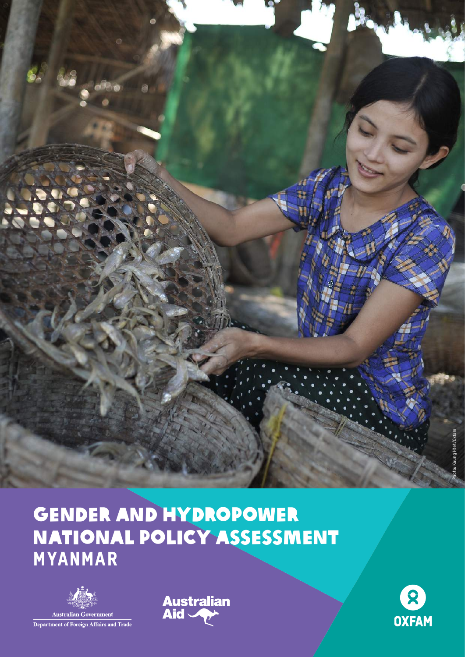

# Gender and Hydropower National policy assessment MYANMAR





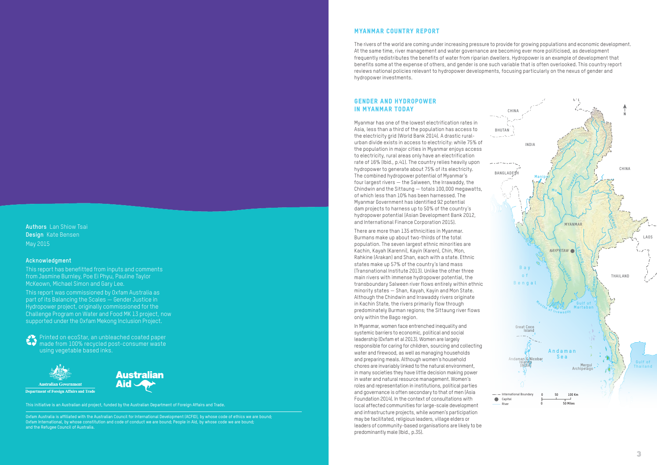# Gender and hydropower in Myanmar today

Myanmar has one of the lowest electrification rates in Asia, less than a third of the population has access to the electricity grid (World Bank 2014). A drastic ruralurban divide exists in access to electricity: while 75% of the population in major cities in Myanmar enjoys access to electricity, rural areas only have an electrification rate of 16% (Ibid., p.41). The country relies heavily upon hydropower to generate about 75% of its electricity. The combined hydropower potential of Myanmar's four largest rivers — the Salween, the Irrawaddy, the Chindwin and the Sittaung — totals 100,000 megawatts, of which less than 10% has been harnessed. The Myanmar Government has identified 92 potential dam projects to harness up to 50% of the country's hydropower potential (Asian Development Bank 2012, and International Finance Corporation 2015).

There are more than 135 ethnicities in Myanmar. Burmans make up about two-thirds of the total population. The seven largest ethnic minorities are Kachin, Kayah (Karenni), Kayin (Karen), Chin, Mon, Rahkine (Arakan) and Shan, each with a state. Ethnic states make up 57% of the country's land mass (Transnational Institute 2013). Unlike the other three main rivers with immense hydropower potential, the transboundary Salween river flows entirely within ethnic minority states — Shan, Kayah, Kayin and Mon State. Although the Chindwin and Irrawaddy rivers originate in Kachin State, the rivers primarily flow through predominately Burman regions; the Sittaung river flows only within the Bago region.

In Myanmar, women face entrenched inequality and systemic barriers to economic, political and social leadership (Oxfam et al 2013). Women are largely responsible for caring for children, sourcing and collecting water and firewood, as well as managing households and preparing meals. Although women's household chores are invariably linked to the natural environment, in many societies they have little decision making power in water and natural resource management. Women's roles and representation in institutions, political parties and governance is often secondary to that of men (Asia Foundation 2014). In the context of consultations with local affected communities for large-scale development and infrastructure projects, while women's participation may be facilitated, religious leaders, village elders or leaders of community-based organisations are likely to be predominantly male (Ibid., p.35).

**Authors** Lan Shiow Tsai **Design** Kate Bensen May 2015

#### **Acknowledgment**

This report has benefitted from inputs and comments from Jasmine Burnley, Poe Ei Phyu, Pauline Taylor McKeown, Michael Simon and Gary Lee.

This report was commissioned by Oxfam Australia as part of its Balancing the Scales — Gender Justice in Hydropower project, originally commissioned for the Challenge Program on Water and Food MK 13 project, now supported under the Oxfam Mekong Inclusion Project.

Printed on ecoStar, an unbleached coated paper made from 100% recycled post-consumer waste using vegetable based inks.

**Australian Government Department of Foreign Affairs and Trade** 



This initiative is an Australian aid project, funded by the Australian Department of Foreign Affairs and Trade.

Oxfam Australia is affiliated with the Australian Council for International Development (ACFID), by whose code of ethics we are bound; Oxfam International, by whose constitution and code of conduct we are bound; People in Aid, by whose code we are bound; and the Refugee Council of Australia.



 $2$  3  $2$  3  $2$  3  $2$  3  $2$  3  $2$  3  $2$  3  $2$  3  $2$  3  $2$  3  $2$  3  $2$  3  $2$  3  $2$  3  $2$  3  $2$  3  $2$  3  $2$  3  $2$  3  $2$  3  $2$  3  $2$  3  $2$  3  $2$  3  $2$  3  $2$  3  $2$  3  $2$  3  $2$  3  $2$  3  $2$  3  $2$  3  $2$  3  $2$  3  $2$  3  $2$  3  $2$  3

### Myanmar Country Report

The rivers of the world are coming under increasing pressure to provide for growing populations and economic development. At the same time, river management and water governance are becoming ever more politicised, as development frequently redistributes the benefits of water from riparian dwellers. Hydropower is an example of development that benefits some at the expense of others, and gender is one such variable that is often overlooked. This country report reviews national policies relevant to hydropower developments, focusing particularly on the nexus of gender and hydropower investments.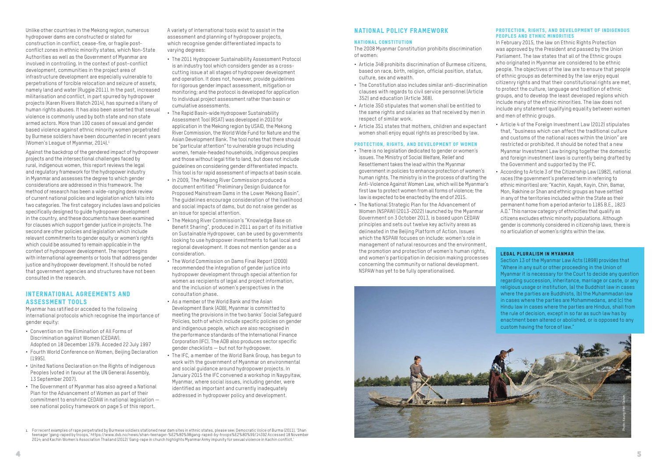Unlike other countries in the Mekong region, numerous hydropower dams are constructed or slated for construction in conflict, cease-fire, or fragile postconflict zones in ethnic minority states, which Non-State Authorities as well as the Government of Myanmar are involved in controlling. In the context of post–conflict development, communities in the project area of infrastructure development are especially vulnerable to perpetrations of forcible relocation and seizure of assets, namely land and water (Ruggie 2011). In the past, increased militarisation and conflict, in part spurred by hydropower projects (Karen Rivers Watch 2014), has spurned a litany of human rights abuses. It has also been asserted that sexual violence is commonly used by both state and non state armed actors. More than 100 cases of sexual and gender based violence against ethnic minority women perpetrated by Burmese soldiers have been documented in recent years (Women's League of Myanmar, 2014).1

Against the backdrop of the gendered impact of hydropower projects and the intersectional challenges faced by rural, indigenous women, this report reviews the legal and regulatory framework for the hydropower industry in Myanmar and assesses the degree to which gender considerations are addressed in this framework. The method of research has been a wide-ranging desk review of current national policies and legislation which falls into two categories. The first category includes laws and policies specifically designed to guide hydropower development in the country, and these documents have been examined for clauses which support gender justice in projects. The second are other policies and legislation which include relevant commitments to gender equity or women's rights which could be assumed to remain applicable in the context of hydropower development. The report begins with international agreements or tools that address gender justice and hydropower development. It should be noted that government agencies and structures have not been consulted in the research.

# International Agreements and Assessment Tools

Myanmar has ratified or acceded to the following international protocols which recognise the importance of gender equity:

- **•** Convention on the Elimination of All Forms of Discrimination against Women (CEDAW). Adopted on 18 December 1979. Acceded 22 July 1997
- **•** Fourth World Conference on Women, Beijing Declaration (1995).
- **•** United Nations Declaration on the Rights of Indigenous Peoples (voted in favour at the UN General Assembly, 13 September 2007).
- **•** The Government of Myanmar has also agreed a National Plan for the Advancement of Women as part of their commitment to enshrine CEDAW in national legislation see national policy framework on page 5 of this report.

A variety of international tools exist to assist in the assessment and planning of hydropower projects, which recognise gender differentiated impacts to varying degrees:

#### PROTECTION, RIGHTS, AND DEVELOPMENT OF INDIGENOUS Peoples and Ethnic Minorities

- **•** The 2011 Hydropower Sustainability Assessment Protocol is an industry tool which considers gender as a crosscutting issue at all stages of hydropower development and operation. It does not, however, provide guidelines for rigorous gender impact assessment, mitigation or monitoring; and the protocol is developed for application to individual project assessment rather than basin or cumulative assessments.
- **•** The Rapid Basin-wide Hydropower Sustainability Assessment Tool (RSAT) was developed in 2010 for application in the Mekong region by USAID, the Mekong River Commission, the World Wide Fund for Nature and the Asian Development Bank. The tool notes that there should be "particular attention" to vulnerable groups including women, female-headed households, indigenous peoples and those without legal title to land, but does not include guidelines on considering gender differentiated impacts. This tool is for rapid assessment of impacts at basin scale.
- **•** In 2009, The Mekong River Commission produced a document entitled "Preliminary Design Guidance for Proposed Mainstream Dams in the Lower Mekong Basin". The guidelines encourage consideration of the livelihood and social impacts of dams, but do not raise gender as an issue for special attention.
- **•** The Mekong River Commission's "Knowledge Base on Benefit Sharing", produced in 2011 as part of its Initiative on Sustainable Hydropower, can be used by governments looking to use hydropower investments to fuel local and regional development. It does not mention gender as a consideration.
- **•** The World Commission on Dams Final Report (2000) recommended the integration of gender justice into hydropower development through special attention for women as recipients of legal and project information, and the inclusion of women's perspectives in the consultation phase.
- **•** As a member of the World Bank and the Asian Development Bank (ADB), Myanmar is committed to meeting the provisions in the two banks' Social Safeguard Policies, both of which include specific policies on gender and indigenous people, which are also recognised in the performance standards of the International Finance Corporation (IFC). The ADB also produces sector specific gender checklists — but not for hydropower.
- **•** The IFC, a member of the World Bank Group, has begun to work with the government of Myanmar on environmental and social guidance around hydropower projects. In January 2015 the IFC convened a workshop in Naypyitaw, Myanmar, where social issues, including gender, were identified as important and currently inadequately addressed in hydropower policy and development.

# National Policy Framework

# National Constitution

The 2008 Myanmar Constitution prohibits discrimination of women:

- **•** Article 348 prohibits discrimination of Burmese citizens, based on race, birth, religion, official position, status, culture, sex and wealth.
- **•** The Constitution also includes similar anti-discrimination clauses with regards to civil service personnel (Article 352) and education (Article 368).
- **•** Article 350 stipulates that women shall be entitled to the same rights and salaries as that received by men in respect of similar work.
- **•** Article 351 states that mothers, children and expectant women shall enjoy equal rights as prescribed by law.

## Protection, rights, and development of women

- **•** There is no legislation dedicated to gender or women's issues. The Ministry of Social Welfare, Relief and Resettlement takes the lead within the Myanmar government in policies to enhance protection of women's human rights. The ministry is in the process of drafting the Anti-Violence Against Women Law, which will be Myanmar's first law to protect women from all forms of violence; the law is expected to be enacted by the end of 2015.
- **•** The National Strategic Plan for the Advancement of Women (NSPAW) (2013-2022) launched by the Myanmar Government on 3 October 2013, is based upon CEDAW principles and sets out twelve key activity areas as delineated in the Beijing Platform of Action. Issues which the NSPAW focuses on include: women's role in management of natural resources and the environment, the promotion and protection of women's human rights, and women's participation in decision making processes concerning the community or national development. NSPAW has yet to be fully operationalised.

In February 2015, the law on Ethnic Rights Protection was approved by the President and passed by the Union Parliament. The law states that all of the Ethnic groups who originated in Myanmar are considered to be ethnic people. The objectives of the law are to ensure that people of ethnic groups as determined by the law enjoy equal citizenry rights and that their constitutional rights are met, to protect the culture, language and tradition of ethnic groups, and to develop the least developed regions which include many of the ethnic minorities. The law does not include any statement qualifying equality between women and men of ethnic groups.

- **•** Article 4 of the Foreign Investment Law (2012) stipulates that, "business which can affect the traditional culture and customs of the national races within the Union" are restricted or prohibited. It should be noted that a new Myanmar Investment Law bringing together the domestic and foreign investment laws is currently being drafted by the Government and supported by the IFC.
- **•** According to Article 3 of the Citizenship Law (1982), national races (the government's preferred term in referring to ethnic minorities) are: "Kachin, Kayah, Kayin, Chin, Bamar, Mon, Rakhine or Shan and ethnic groups as have settled in any of the territories included within the State as their permanent home from a period anterior to 1185 B.E., 1823 A.D." This narrow category of ethnicities that qualify as citizens excludes ethnic minority populations. Although gender is commonly considered in citizenship laws, there is no articulation of women's rights within the law.

#### Legal Pluralism in Myanmar

Section 13 of the Myanmar Law Acts (1898) provides that "Where in any suit or other proceeding in the Union of Myanmar it is necessary for the Court to decide any question regarding succession, inheritance, marriage or caste, or any religious usage or institution, (a) the Buddhist law in cases where the parties are Buddhists, (b) the Muhammadan law in cases where the parties are Mohammedans, and (c) the Hindu law in cases where the parties are Hindus, shall from enactment been altered or abolished, or is opposed to any



<sup>1.</sup> For recent examples of rape perpetrated by Burmese soldiers stationed near dam sites in ethnic states, please see: Democratic Voice of Burma (2011), 'Shan<br>teenager 'gang-raped by troops,' https://www.dvb.no/news/shan-te 2014; and Kachin Women's Association Thailand (2012) 'Gang-rape in church highlights Myanmar Army impunity for sexual violence in Kachin conflict.'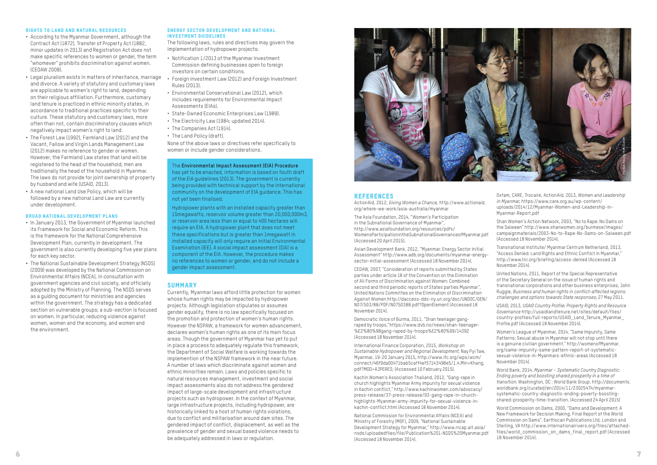#### Rights to land and natural resources

- **•** According to the Myanmar Government, although the Contract Act (1872), Transfer of Property Act (1882, minor updates in 2013) and Registration Act does not make specific references to women or gender, the term "whomever" prohibits discrimination against women. (CEDAW 2008).
- **•** Legal pluralism exists in matters of inheritance, marriage and divorce. A variety of statutory and customary laws are applicable to women's right to land, depending on their religious affiliation. Furthermore, customary land tenure is practiced in ethnic minority states, in accordance to traditional practices specific to their culture. These statutory and customary laws, more often than not, contain discriminatory clauses which negatively impact women's right to land.
- **•** The Forest Law (1992), Farmland Law (2012) and the Vacant, Fallow and Virgin Lands Management Law (2012) makes no reference to gender or women. However, the Farmland Law states that land will be registered to the head of the household; men are traditionally the head of the household in Myanmar. The laws do not provide for joint ownership of property by husband and wife (USAID, 2013).
- **•** A new national Land Use Policy, which will be followed by a new national Land Law are currently under development.

#### Broad national development plans

- **•** In January 2013, the Government of Myanmar launched its Framework for Social and Economic Reform. This is the framework for the National Comprehensive Development Plan, currently in development. The government is also currently developing five year plans for each key sector.
- **•** The National Sustainable Development Strategy (NSDS) (2009) was developed by the National Commission on Environmental Affairs (NCEA), in consultation with government agencies and civil society, and officially adopted by the Ministry of Planning. The NSDS serves as a guiding document for ministries and agencies within the government. The strategy has a dedicated section on vulnerable groups; a sub-section is focused on women. In particular, reducing violence against women, women and the economy, and women and the environment.

#### Energy sector development and national investment guidelines

The following laws, rules and directives may govern the implementation of hydropower projects:

- Notification 1/2013 of the Myanmar Investment Commission defining businesses open to foreign investors on certain conditions.
- Foreign Investment Law (2012) and Foreign Investment Rules (2013).
- Environmental Conservational Law (2012), which includes requirements for Environmental Impact Assessments (EIAs).
- State-Owned Economic Enterprises Law (1989).
- The Electricity Law (1984; updated 2014).
- The Companies Act (1914).
- The Land Policy (draft).

None of the above laws or directives refer specifically to women or include gender considerations.

Currently, Myanmar laws afford little protection for women whose human rights may be impacted by hydropower projects. Although legislation stipulates or assumes gender equality, there is no law specifically focused on the promotion and protection of women's human rights. However the NSPAW, a framework for women advancement, declares women's human rights as one of its main focus areas. Though the government of Myanmar has yet to put in place a process to adequately regulate this framework, the Department of Social Welfare is working towards the implemention of the NSPAW framework in the near future. A number of laws which discriminate against women and ethnic minorities remain. Laws and policies specific to natural resources management, investment and social impact assessments also do not address the gendered impact of large-scale development and infrastructure projects such as hydropower. In the context of Myanmar, large infrastructure projects, including hydropower, are historically linked to a host of human rights violations, due to conflict and militarisation around dam sites. The gendered impact of conflict, displacement, as well as the prevalence of gender and sexual based violence needs to be adequately addressed in laws or regulation.

ActionAid, 2012, *Giving Women a Chance,* http://www.actionaid. org/where-we-work/asia-australia/myanmar

The Asia Foundation, 2014, "Women's Participation in the Subnational Governance of Myanmar", http://www.asiafoundation.org/resources/pdfs/ WomensParticipationintheSubnationalGovernanceofMyanmar.pdf (Accessed 20 April 2015).

Asian Development Bank, 2012, "Myanmar: Energy Sector Initial Assessment" http://www.adb.org/documents/myanmar-energysector-initial-assessment (Accessed 18 November 2014).

CEDAW, 2007, "Consideration of reports submitted by States parties under article 18 of the Convention on the Elimination of All Forms of Discrimination against Women: Combined second and third periodic reports of States parties Myanmar", United Nations Committee on the Elimination of Discrimination Against Women http://daccess-dds-ny.un.org/doc/UNDOC/GEN/ N07/503/88/PDF/N0750388.pdf?OpenElement (Accessed 18 November 2014).

Democratic Voice of Burma, 2011, "Shan teenager gangraped by troops,"https://www.dvb.no/news/shan-teenager- %E2%80%98gang-raped-by-troops%E2%80%99/14392 (Accessed 18 November 2014).

International Finance Corporation, 2015, *Workshop on Sustainable Hydropower and Regional Development*, Nay Pyi Taw, Myanmar, 19-20 January 2015, http://www.ifc.org/wps/wcm/ connect/46f9da00471bab5caff4ef57143498e5/1.4.Min+Khang. pdf?MOD=AJPERES; (Accessed 10 February 2015).

Kachin Women's Association Thailand, 2012, "Gang-rape in church highlights Myanmar Army impunity for sexual violence in Kachin conflict," http://www.kachinwomen.com/advocacy/ press-release/37-press-release/93-gang-rape-in-churchhighlights-Myanmar-army-impunity-for-sexual-violence-inkachin-conflict.html (Accessed 18 November 2014).

National Commission for Environmental Affairs (NCEA) and Ministry of Forestry (MOF), 2009, "National Sustainable Development Strategy for Myanmar," http://www.rrcap.ait.asia/ nsds/uploadedfiles/file/Publication%201-NSDS%20Myanmar.pdf (Accessed 18 November 2014).

Oxfam, CARE, Trocaire, ActionAid, 2013, *Women and Leadership in Myanmar*, https://www.care.org.au/wp-content/ uploads/2014/12/Myanmar-Women-and-Leadership-in-Myanmar-Report.pdf

Shan Women's Action Network, 2003, "No to Rape: No Dams on the Salween" http://www.shanwomen.org/burmese/images/ campaignmaterials/2003-No-to-Rape-No-Dams-on-Salween.pdf (Accessed 18 November 2014).

Transnational Institute/ Myanmar Centrum Netherland, 2013, "Access Denied: Land Rights and Ethnic Conflict in Myanmar," http://www.tni.org/briefing/access-denied (Accessed 18 November 2014).

United Nations, 2011, Report of the Special Representative of the Secretary General on the issue of human rights and transnational corporations and other business enterprises, John Ruggie, *Business and human rights in conflict-affected regions: challenges and options towards State responses*; 27 May 2011.

USAID, 2013, *USAID Country Profile: Property Rights and Resource Governance* http://usaidlandtenure.net/sites/default/files/ country-profiles/full-reports/USAID\_Land\_Tenure\_Myanmar\_ Profile.pdf (Accessed 18 November 2014).

Women's League of Myanmar, 2014, "Same Impunity, Same Patterns: Sexual abuse in Myanmar will not stop until there is a genuine civilian government." http://womenofMyanmar. org/same-impunity-same-pattern-report-of-systematicsexual-violence-in-Myanmars-ethnic-areas (Accessed 18 November 2014).

World Bank, 2014, *Myanmar – Systematic Country Diagnostic: Ending poverty and boosting shared prosperity in a time of transition*. Washington, DC : World Bank Group. http://documents. worldbank.org/curated/en/2014/11/23025474/myanmarsystematic-country-diagnostic-ending-poverty-boostingshared-prosperity-time-transition. (Accessed 24 April 2015)

World Commission on Dams, 2000, "Dams and Development: A New Framework for Decision Making. Final Report of the World Commission on Dams". Earthscan Publications Ltd, London and Sterling, VA http://www.internationalrivers.org/files/attachedfiles/world\_commission\_on\_dams\_final\_report.pdf (Accessed 18 November 2014).

#### The **Environmental Impact Assessment (EIA) Procedure**

has yet to be enacted, information is based on fouth draft of the EIA guidelines (2013). The government is currently being provided with technical support by the international community on the development of EIA guidance. This has not yet been finalised.

Hydropower plants with an installed capacity greater than 15megawatts, reservoir volume greater than 20,000,000m3, or reservoir area less than or equal to 400 hectares will require an EIA. A hydropower plant that does not meet these specifications but is greater than 1megawatt in installed capacity will only require an Initial Environmental Examination (IEE). A social impact assessment (SIA) is a component of the EIA. However, the procedure makes no references to women or gender, and do not include a gender impact assessment.

#### **SUMMARY**



#### **REFERENCES**